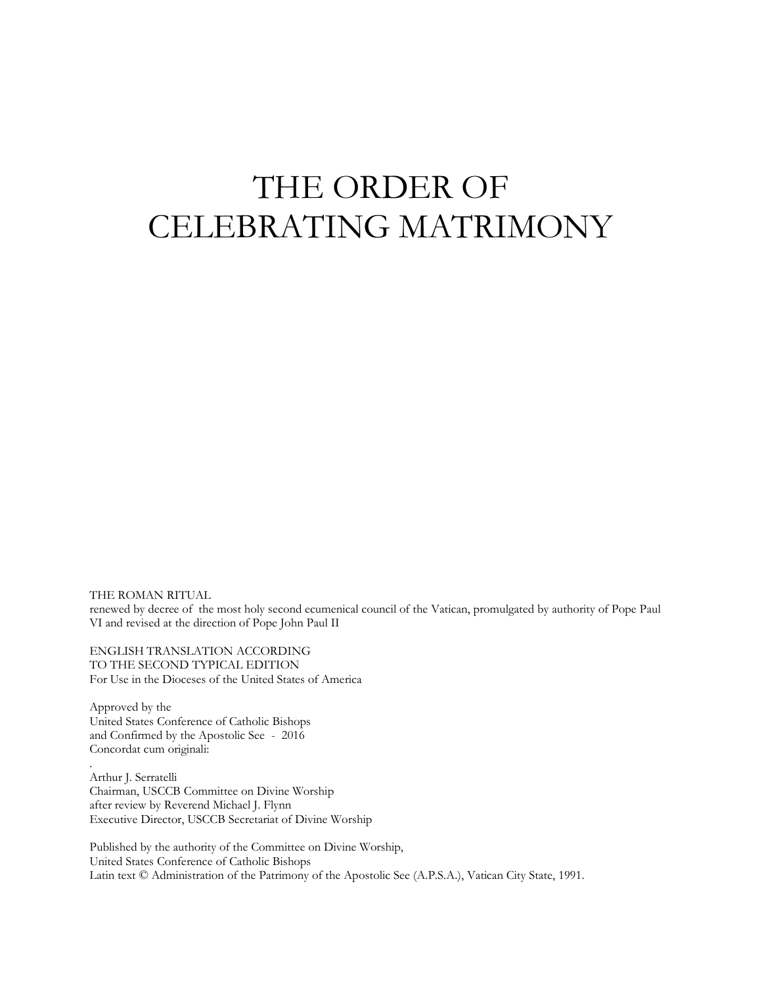# THE ORDER OF CELEBRATING MATRIMONY

THE ROMAN RITUAL renewed by decree of the most holy second ecumenical council of the Vatican, promulgated by authority of Pope Paul VI and revised at the direction of Pope John Paul II

ENGLISH TRANSLATION ACCORDING TO THE SECOND TYPICAL EDITION For Use in the Dioceses of the United States of America

Approved by the United States Conference of Catholic Bishops and Confirmed by the Apostolic See - 2016 Concordat cum originali:

. Arthur J. Serratelli Chairman, USCCB Committee on Divine Worship after review by Reverend Michael J. Flynn Executive Director, USCCB Secretariat of Divine Worship

Published by the authority of the Committee on Divine Worship, United States Conference of Catholic Bishops Latin text © Administration of the Patrimony of the Apostolic See (A.P.S.A.), Vatican City State, 1991.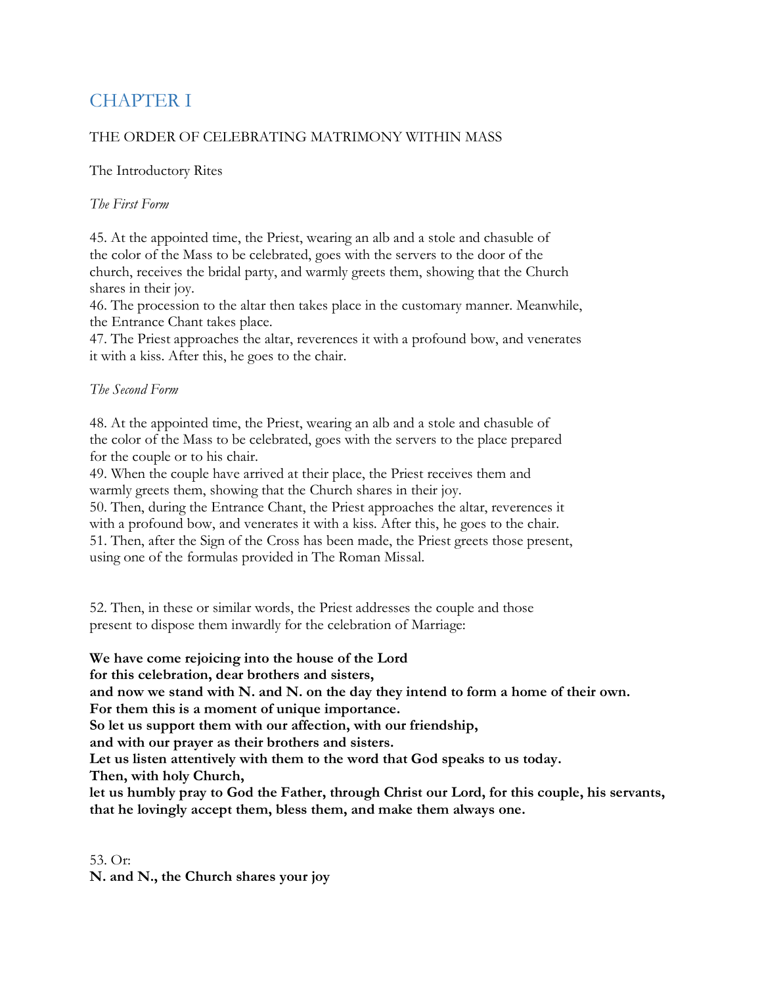# CHAPTER I

# THE ORDER OF CELEBRATING MATRIMONY WITHIN MASS

The Introductory Rites

# *The First Form*

45. At the appointed time, the Priest, wearing an alb and a stole and chasuble of the color of the Mass to be celebrated, goes with the servers to the door of the church, receives the bridal party, and warmly greets them, showing that the Church shares in their joy.

46. The procession to the altar then takes place in the customary manner. Meanwhile, the Entrance Chant takes place.

47. The Priest approaches the altar, reverences it with a profound bow, and venerates it with a kiss. After this, he goes to the chair.

# *The Second Form*

48. At the appointed time, the Priest, wearing an alb and a stole and chasuble of the color of the Mass to be celebrated, goes with the servers to the place prepared for the couple or to his chair.

49. When the couple have arrived at their place, the Priest receives them and warmly greets them, showing that the Church shares in their joy.

50. Then, during the Entrance Chant, the Priest approaches the altar, reverences it with a profound bow, and venerates it with a kiss. After this, he goes to the chair. 51. Then, after the Sign of the Cross has been made, the Priest greets those present, using one of the formulas provided in The Roman Missal.

52. Then, in these or similar words, the Priest addresses the couple and those present to dispose them inwardly for the celebration of Marriage:

**We have come rejoicing into the house of the Lord** 

**for this celebration, dear brothers and sisters,** 

**and now we stand with N. and N. on the day they intend to form a home of their own.** 

**For them this is a moment of unique importance.** 

**So let us support them with our affection, with our friendship,** 

**and with our prayer as their brothers and sisters.** 

**Let us listen attentively with them to the word that God speaks to us today.** 

**Then, with holy Church,** 

**let us humbly pray to God the Father, through Christ our Lord, for this couple, his servants, that he lovingly accept them, bless them, and make them always one.** 

53. Or:

**N. and N., the Church shares your joy**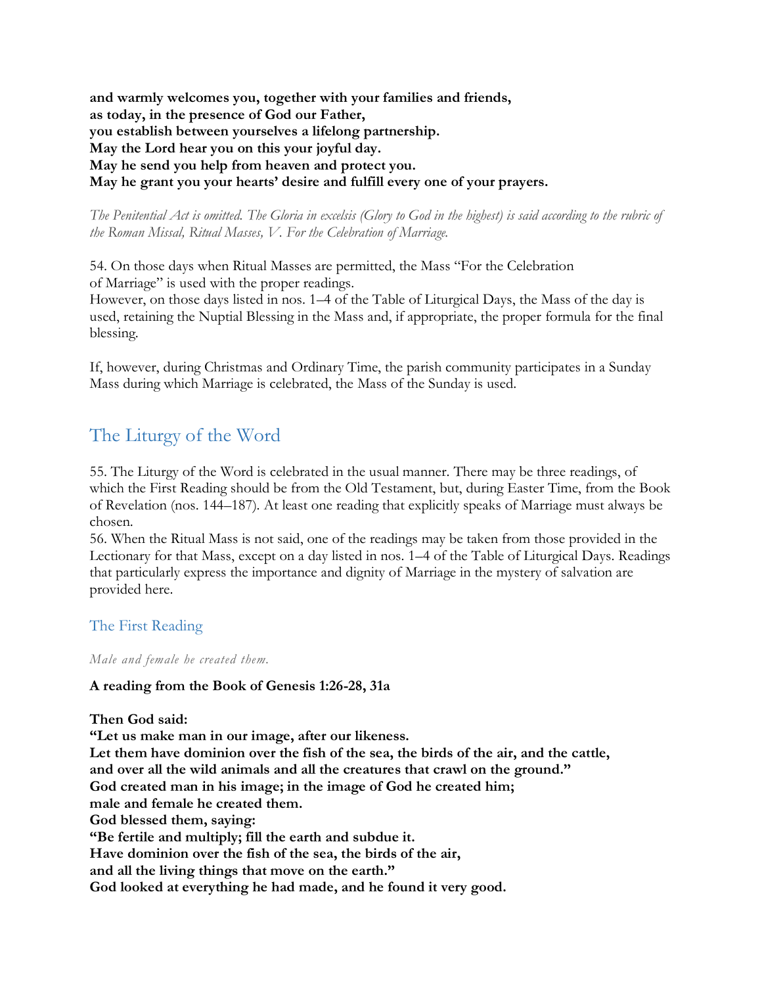**and warmly welcomes you, together with your families and friends, as today, in the presence of God our Father, you establish between yourselves a lifelong partnership. May the Lord hear you on this your joyful day. May he send you help from heaven and protect you. May he grant you your hearts' desire and fulfill every one of your prayers.** 

*The Penitential Act is omitted. The Gloria in excelsis (Glory to God in the highest) is said according to the rubric of the Roman Missal, Ritual Masses, V. For the Celebration of Marriage.* 

54. On those days when Ritual Masses are permitted, the Mass "For the Celebration of Marriage" is used with the proper readings.

However, on those days listed in nos. 1–4 of the Table of Liturgical Days, the Mass of the day is used, retaining the Nuptial Blessing in the Mass and, if appropriate, the proper formula for the final blessing.

If, however, during Christmas and Ordinary Time, the parish community participates in a Sunday Mass during which Marriage is celebrated, the Mass of the Sunday is used.

# The Liturgy of the Word

55. The Liturgy of the Word is celebrated in the usual manner. There may be three readings, of which the First Reading should be from the Old Testament, but, during Easter Time, from the Book of Revelation (nos. 144–187). At least one reading that explicitly speaks of Marriage must always be chosen.

56. When the Ritual Mass is not said, one of the readings may be taken from those provided in the Lectionary for that Mass, except on a day listed in nos. 1–4 of the Table of Liturgical Days. Readings that particularly express the importance and dignity of Marriage in the mystery of salvation are provided here.

# The First Reading

*Male and female he created them.* 

#### **A reading from the Book of Genesis 1:26-28, 31a**

**Then God said:** 

**"Let us make man in our image, after our likeness. Let them have dominion over the fish of the sea, the birds of the air, and the cattle, and over all the wild animals and all the creatures that crawl on the ground." God created man in his image; in the image of God he created him; male and female he created them. God blessed them, saying: "Be fertile and multiply; fill the earth and subdue it. Have dominion over the fish of the sea, the birds of the air, and all the living things that move on the earth." God looked at everything he had made, and he found it very good.**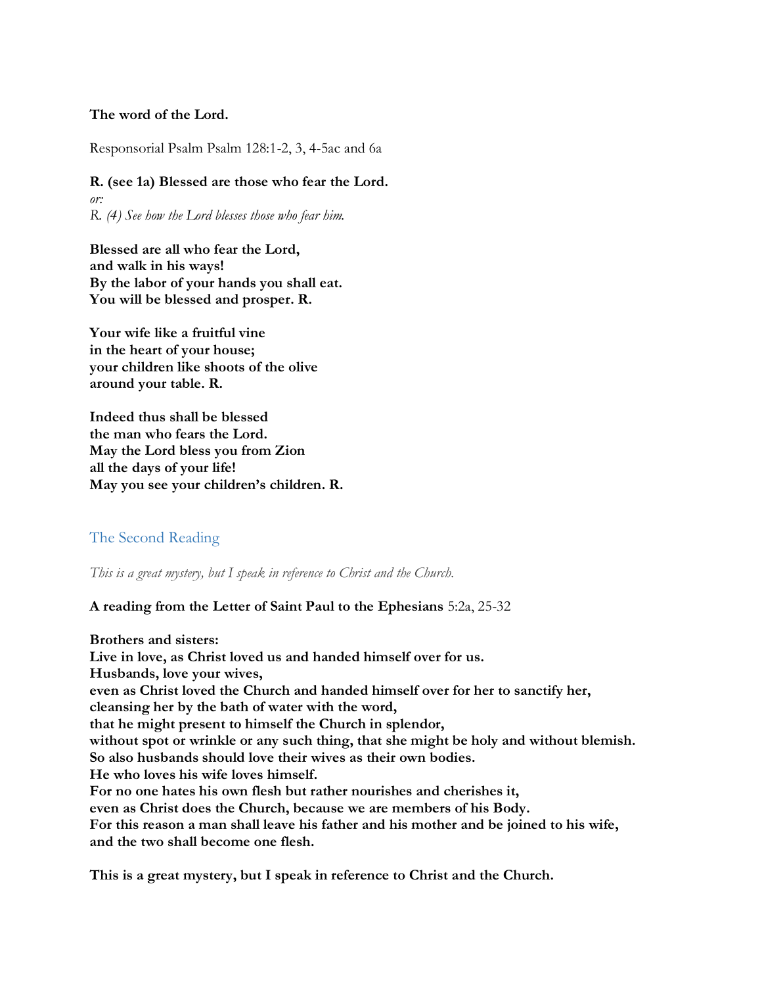#### **The word of the Lord.**

Responsorial Psalm Psalm 128:1-2, 3, 4-5ac and 6a

**R. (see 1a) Blessed are those who fear the Lord.**  *or: R. (4) See how the Lord blesses those who fear him.* 

**Blessed are all who fear the Lord, and walk in his ways! By the labor of your hands you shall eat. You will be blessed and prosper. R.** 

**Your wife like a fruitful vine in the heart of your house; your children like shoots of the olive around your table. R.** 

**Indeed thus shall be blessed the man who fears the Lord. May the Lord bless you from Zion all the days of your life! May you see your children's children. R.** 

# The Second Reading

*This is a great mystery, but I speak in reference to Christ and the Church.* 

#### **A reading from the Letter of Saint Paul to the Ephesians** 5:2a, 25-32

**Brothers and sisters: Live in love, as Christ loved us and handed himself over for us. Husbands, love your wives, even as Christ loved the Church and handed himself over for her to sanctify her, cleansing her by the bath of water with the word, that he might present to himself the Church in splendor, without spot or wrinkle or any such thing, that she might be holy and without blemish. So also husbands should love their wives as their own bodies. He who loves his wife loves himself. For no one hates his own flesh but rather nourishes and cherishes it, even as Christ does the Church, because we are members of his Body. For this reason a man shall leave his father and his mother and be joined to his wife, and the two shall become one flesh.** 

**This is a great mystery, but I speak in reference to Christ and the Church.**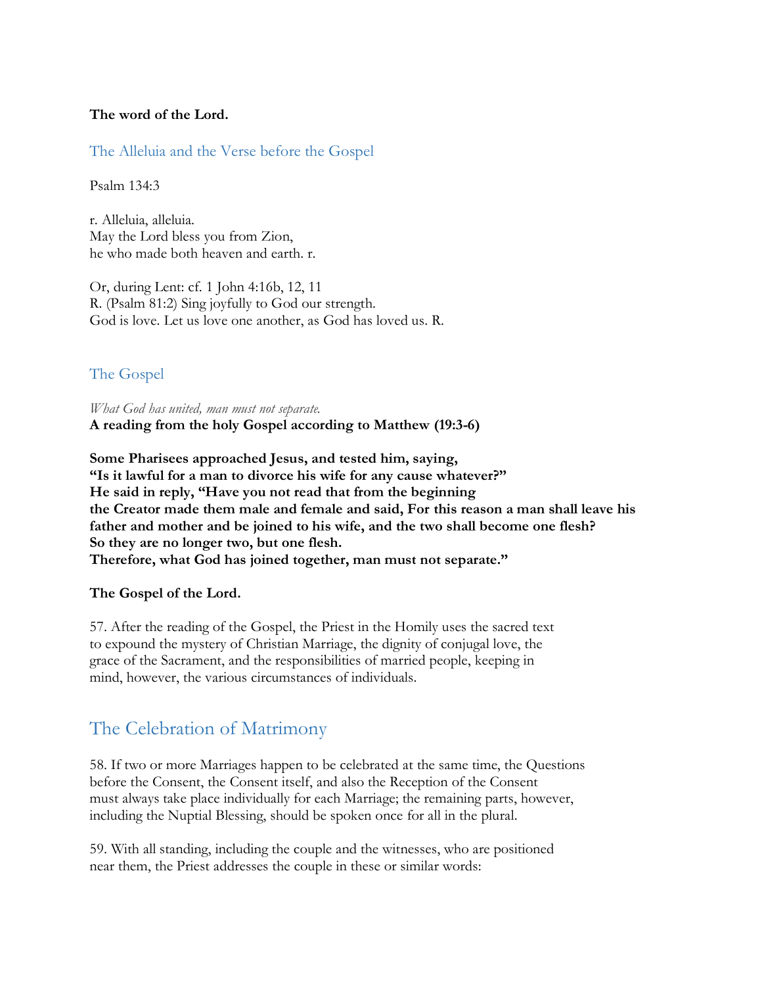## **The word of the Lord.**

# The Alleluia and the Verse before the Gospel

Psalm 134:3

r. Alleluia, alleluia. May the Lord bless you from Zion, he who made both heaven and earth. r.

Or, during Lent: cf. 1 John 4:16b, 12, 11 R. (Psalm 81:2) Sing joyfully to God our strength. God is love. Let us love one another, as God has loved us. R.

# The Gospel

*What God has united, man must not separate.*  **A reading from the holy Gospel according to Matthew (19:3-6)**

**Some Pharisees approached Jesus, and tested him, saying, "Is it lawful for a man to divorce his wife for any cause whatever?" He said in reply, "Have you not read that from the beginning the Creator made them male and female and said, For this reason a man shall leave his father and mother and be joined to his wife, and the two shall become one flesh? So they are no longer two, but one flesh. Therefore, what God has joined together, man must not separate."** 

#### **The Gospel of the Lord.**

57. After the reading of the Gospel, the Priest in the Homily uses the sacred text to expound the mystery of Christian Marriage, the dignity of conjugal love, the grace of the Sacrament, and the responsibilities of married people, keeping in mind, however, the various circumstances of individuals.

# The Celebration of Matrimony

58. If two or more Marriages happen to be celebrated at the same time, the Questions before the Consent, the Consent itself, and also the Reception of the Consent must always take place individually for each Marriage; the remaining parts, however, including the Nuptial Blessing, should be spoken once for all in the plural.

59. With all standing, including the couple and the witnesses, who are positioned near them, the Priest addresses the couple in these or similar words: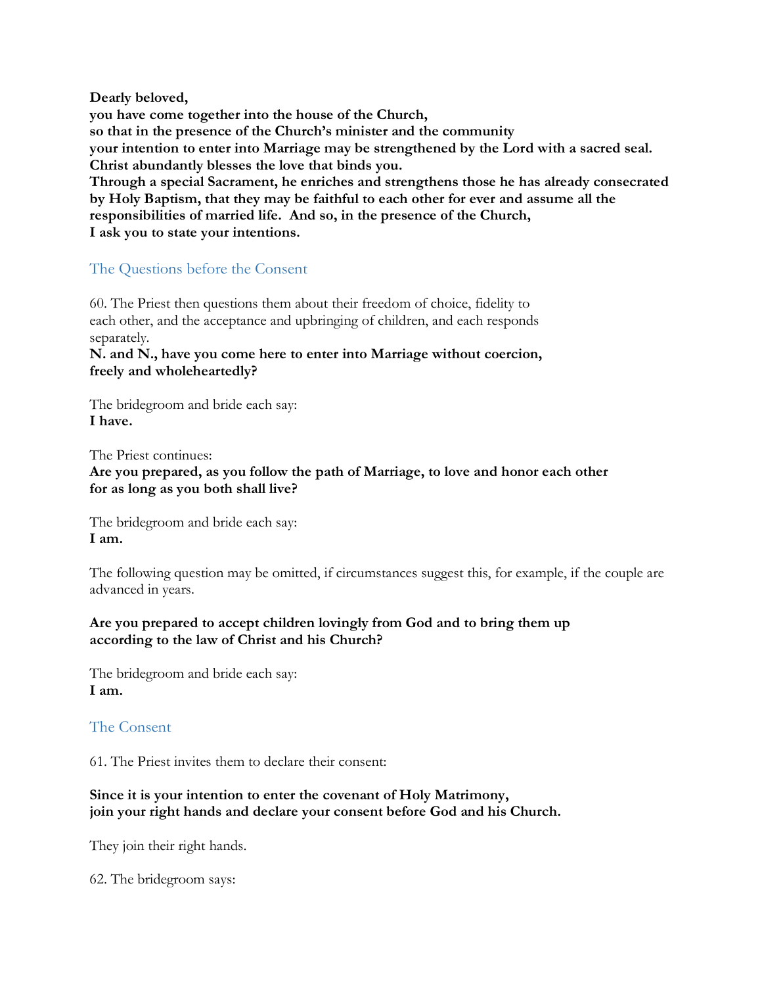**Dearly beloved,** 

**you have come together into the house of the Church, so that in the presence of the Church's minister and the community your intention to enter into Marriage may be strengthened by the Lord with a sacred seal. Christ abundantly blesses the love that binds you. Through a special Sacrament, he enriches and strengthens those he has already consecrated** 

**by Holy Baptism, that they may be faithful to each other for ever and assume all the responsibilities of married life. And so, in the presence of the Church, I ask you to state your intentions.** 

# The Questions before the Consent

60. The Priest then questions them about their freedom of choice, fidelity to each other, and the acceptance and upbringing of children, and each responds separately.

**N. and N., have you come here to enter into Marriage without coercion, freely and wholeheartedly?** 

The bridegroom and bride each say: **I have.** 

The Priest continues:

**Are you prepared, as you follow the path of Marriage, to love and honor each other for as long as you both shall live?** 

The bridegroom and bride each say: **I am.** 

The following question may be omitted, if circumstances suggest this, for example, if the couple are advanced in years.

# **Are you prepared to accept children lovingly from God and to bring them up according to the law of Christ and his Church?**

The bridegroom and bride each say: **I am.** 

#### The Consent

61. The Priest invites them to declare their consent:

# **Since it is your intention to enter the covenant of Holy Matrimony, join your right hands and declare your consent before God and his Church.**

They join their right hands.

62. The bridegroom says: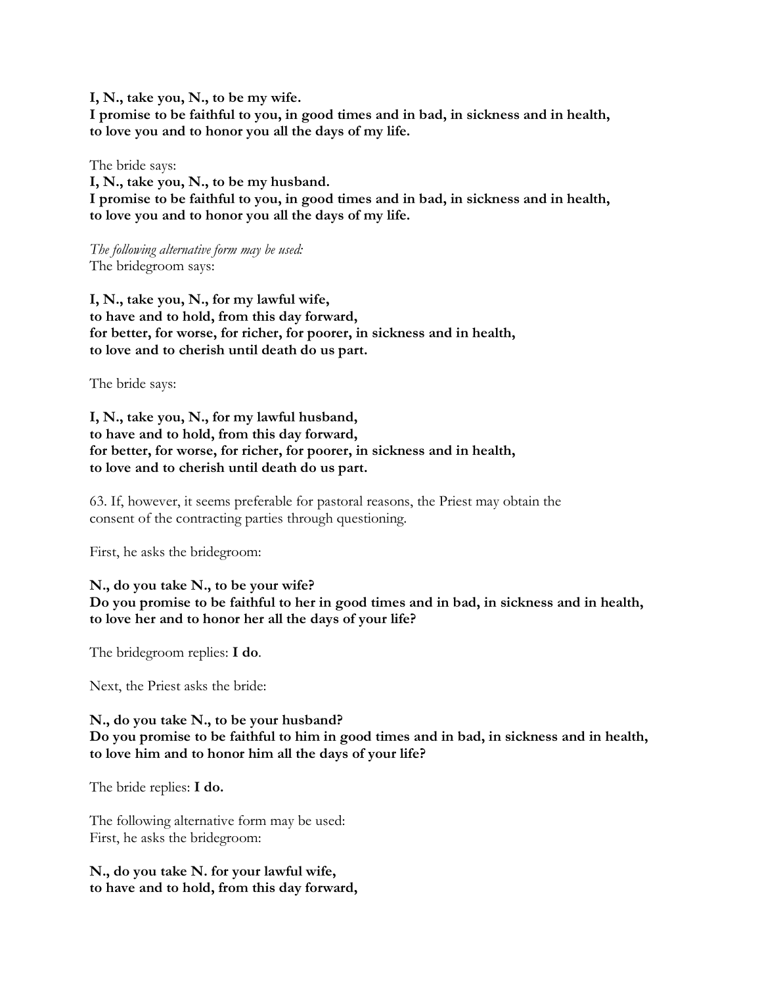**I, N., take you, N., to be my wife.** 

**I promise to be faithful to you, in good times and in bad, in sickness and in health, to love you and to honor you all the days of my life.** 

The bride says:

**I, N., take you, N., to be my husband. I promise to be faithful to you, in good times and in bad, in sickness and in health, to love you and to honor you all the days of my life.** 

*The following alternative form may be used:*  The bridegroom says:

**I, N., take you, N., for my lawful wife, to have and to hold, from this day forward, for better, for worse, for richer, for poorer, in sickness and in health, to love and to cherish until death do us part.** 

The bride says:

#### **I, N., take you, N., for my lawful husband, to have and to hold, from this day forward, for better, for worse, for richer, for poorer, in sickness and in health, to love and to cherish until death do us part.**

63. If, however, it seems preferable for pastoral reasons, the Priest may obtain the consent of the contracting parties through questioning.

First, he asks the bridegroom:

# **N., do you take N., to be your wife? Do you promise to be faithful to her in good times and in bad, in sickness and in health, to love her and to honor her all the days of your life?**

The bridegroom replies: **I do**.

Next, the Priest asks the bride:

## **N., do you take N., to be your husband? Do you promise to be faithful to him in good times and in bad, in sickness and in health, to love him and to honor him all the days of your life?**

The bride replies: **I do.**

The following alternative form may be used: First, he asks the bridegroom:

**N., do you take N. for your lawful wife, to have and to hold, from this day forward,**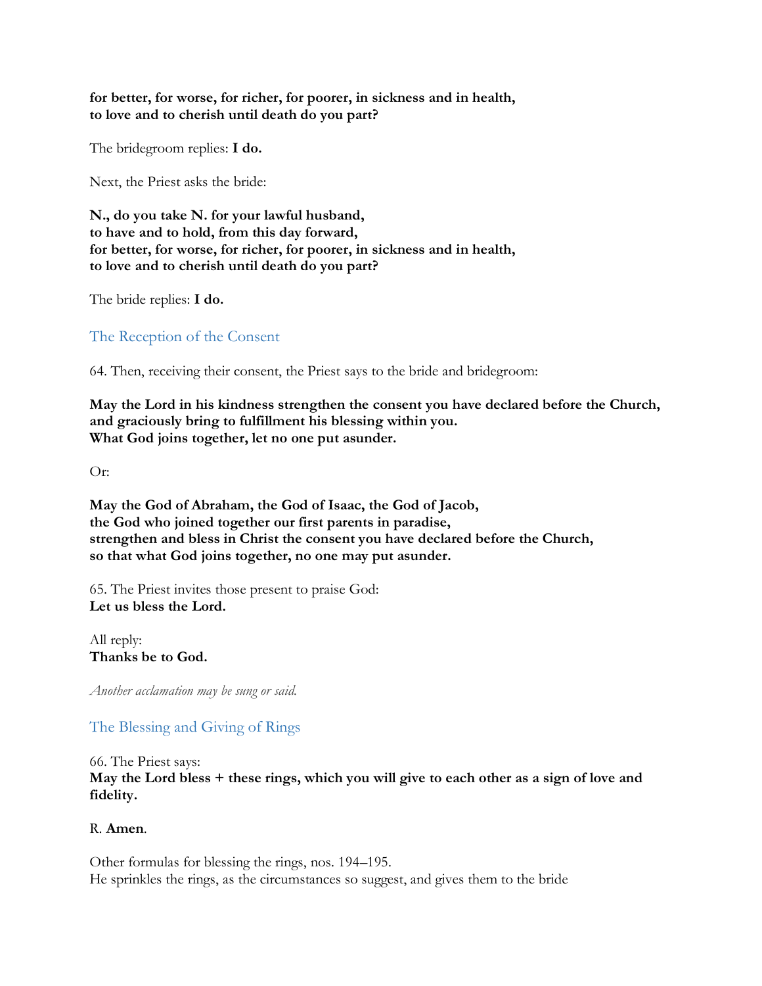**for better, for worse, for richer, for poorer, in sickness and in health, to love and to cherish until death do you part?** 

The bridegroom replies: **I do.** 

Next, the Priest asks the bride:

**N., do you take N. for your lawful husband, to have and to hold, from this day forward, for better, for worse, for richer, for poorer, in sickness and in health, to love and to cherish until death do you part?** 

The bride replies: **I do.** 

The Reception of the Consent

64. Then, receiving their consent, the Priest says to the bride and bridegroom:

**May the Lord in his kindness strengthen the consent you have declared before the Church, and graciously bring to fulfillment his blessing within you. What God joins together, let no one put asunder.** 

Or:

**May the God of Abraham, the God of Isaac, the God of Jacob, the God who joined together our first parents in paradise, strengthen and bless in Christ the consent you have declared before the Church, so that what God joins together, no one may put asunder.** 

65. The Priest invites those present to praise God: **Let us bless the Lord.** 

All reply: **Thanks be to God.** 

*Another acclamation may be sung or said.* 

# The Blessing and Giving of Rings

66. The Priest says: **May the Lord bless + these rings, which you will give to each other as a sign of love and fidelity.** 

#### R. **Amen**.

Other formulas for blessing the rings, nos. 194–195. He sprinkles the rings, as the circumstances so suggest, and gives them to the bride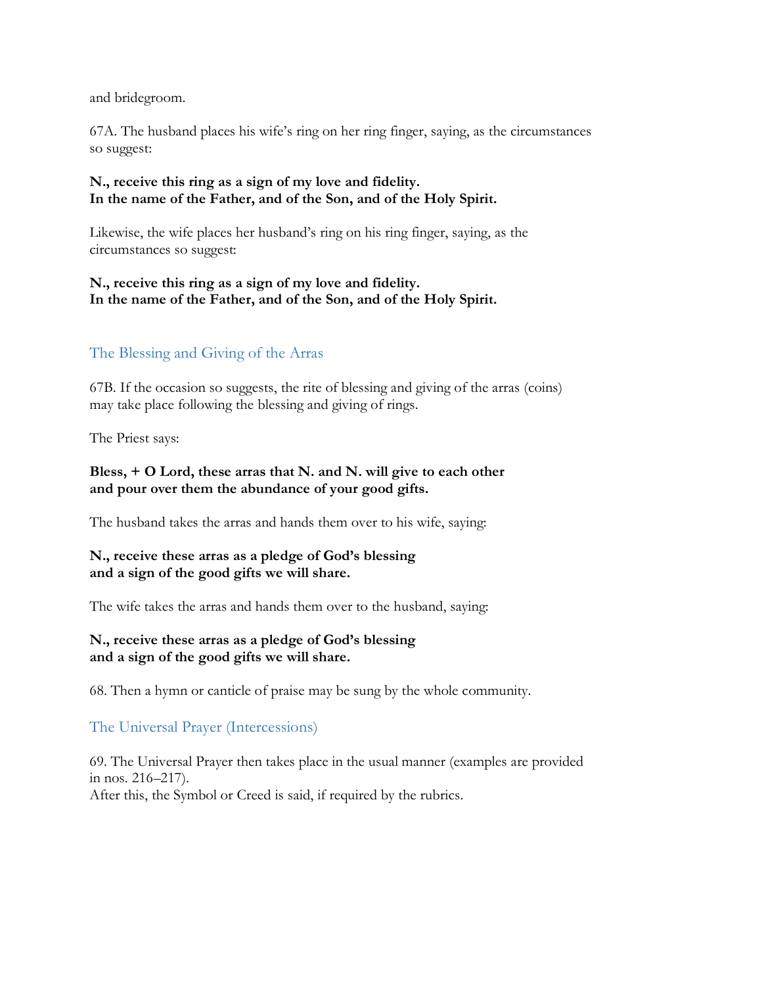and bridegroom.

67A. The husband places his wife's ring on her ring finger, saying, as the circumstances so suggest:

# **N., receive this ring as a sign of my love and fidelity. In the name of the Father, and of the Son, and of the Holy Spirit.**

Likewise, the wife places her husband's ring on his ring finger, saying, as the circumstances so suggest:

#### **N., receive this ring as a sign of my love and fidelity. In the name of the Father, and of the Son, and of the Holy Spirit.**

# The Blessing and Giving of the Arras

67B. If the occasion so suggests, the rite of blessing and giving of the arras (coins) may take place following the blessing and giving of rings.

The Priest says:

# **Bless, + O Lord, these arras that N. and N. will give to each other and pour over them the abundance of your good gifts.**

The husband takes the arras and hands them over to his wife, saying:

#### **N., receive these arras as a pledge of God's blessing and a sign of the good gifts we will share.**

The wife takes the arras and hands them over to the husband, saying:

#### **N., receive these arras as a pledge of God's blessing and a sign of the good gifts we will share.**

68. Then a hymn or canticle of praise may be sung by the whole community.

# The Universal Prayer (Intercessions)

69. The Universal Prayer then takes place in the usual manner (examples are provided in nos. 216–217). After this, the Symbol or Creed is said, if required by the rubrics.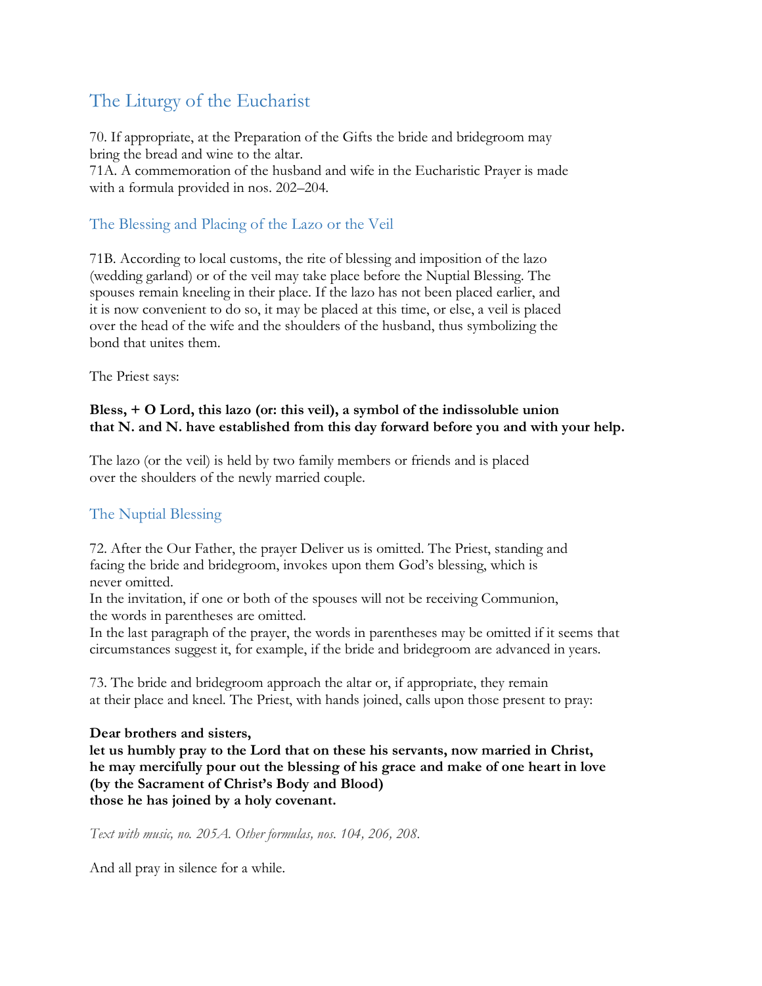# The Liturgy of the Eucharist

70. If appropriate, at the Preparation of the Gifts the bride and bridegroom may bring the bread and wine to the altar.

71A. A commemoration of the husband and wife in the Eucharistic Prayer is made with a formula provided in nos. 202–204.

# The Blessing and Placing of the Lazo or the Veil

71B. According to local customs, the rite of blessing and imposition of the lazo (wedding garland) or of the veil may take place before the Nuptial Blessing. The spouses remain kneeling in their place. If the lazo has not been placed earlier, and it is now convenient to do so, it may be placed at this time, or else, a veil is placed over the head of the wife and the shoulders of the husband, thus symbolizing the bond that unites them.

The Priest says:

# **Bless, + O Lord, this lazo (or: this veil), a symbol of the indissoluble union that N. and N. have established from this day forward before you and with your help.**

The lazo (or the veil) is held by two family members or friends and is placed over the shoulders of the newly married couple.

# The Nuptial Blessing

72. After the Our Father, the prayer Deliver us is omitted. The Priest, standing and facing the bride and bridegroom, invokes upon them God's blessing, which is never omitted.

In the invitation, if one or both of the spouses will not be receiving Communion, the words in parentheses are omitted.

In the last paragraph of the prayer, the words in parentheses may be omitted if it seems that circumstances suggest it, for example, if the bride and bridegroom are advanced in years.

73. The bride and bridegroom approach the altar or, if appropriate, they remain at their place and kneel. The Priest, with hands joined, calls upon those present to pray:

#### **Dear brothers and sisters,**

**let us humbly pray to the Lord that on these his servants, now married in Christ, he may mercifully pour out the blessing of his grace and make of one heart in love (by the Sacrament of Christ's Body and Blood) those he has joined by a holy covenant.** 

*Text with music, no. 205A. Other formulas, nos. 104, 206, 208.* 

And all pray in silence for a while.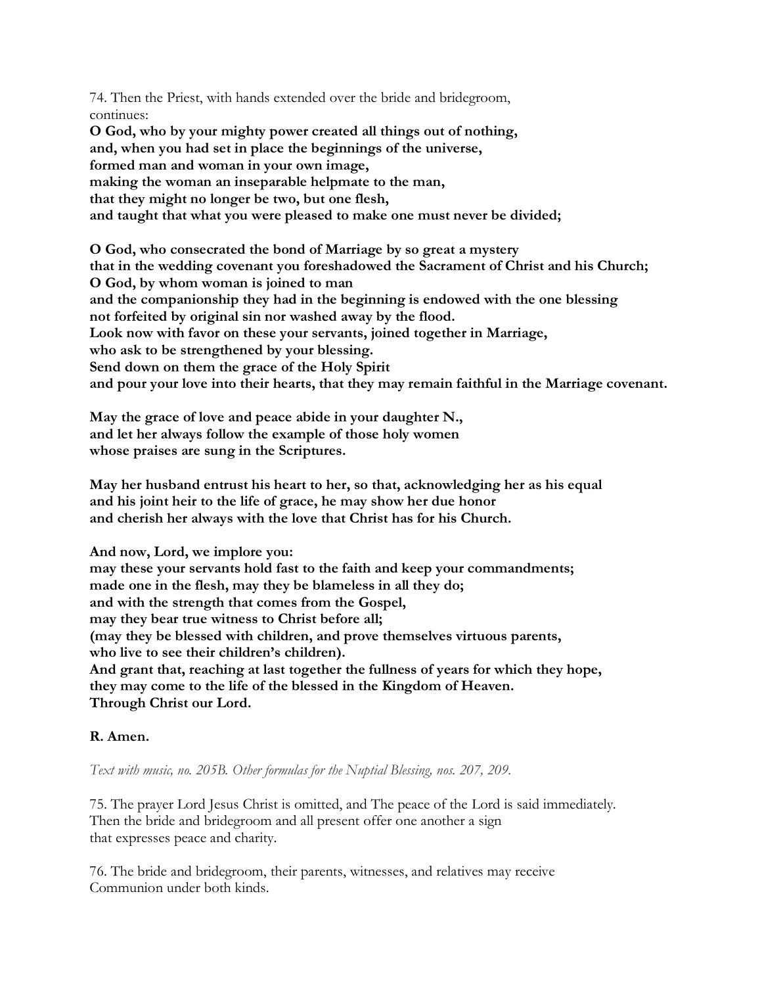74. Then the Priest, with hands extended over the bride and bridegroom, continues:

**O God, who by your mighty power created all things out of nothing, and, when you had set in place the beginnings of the universe, formed man and woman in your own image, making the woman an inseparable helpmate to the man, that they might no longer be two, but one flesh, and taught that what you were pleased to make one must never be divided;** 

**O God, who consecrated the bond of Marriage by so great a mystery** 

**that in the wedding covenant you foreshadowed the Sacrament of Christ and his Church; O God, by whom woman is joined to man** 

**and the companionship they had in the beginning is endowed with the one blessing not forfeited by original sin nor washed away by the flood.** 

**Look now with favor on these your servants, joined together in Marriage,** 

**who ask to be strengthened by your blessing.** 

**Send down on them the grace of the Holy Spirit** 

**and pour your love into their hearts, that they may remain faithful in the Marriage covenant.** 

**May the grace of love and peace abide in your daughter N., and let her always follow the example of those holy women whose praises are sung in the Scriptures.** 

**May her husband entrust his heart to her, so that, acknowledging her as his equal and his joint heir to the life of grace, he may show her due honor and cherish her always with the love that Christ has for his Church.** 

**And now, Lord, we implore you:** 

**may these your servants hold fast to the faith and keep your commandments; made one in the flesh, may they be blameless in all they do; and with the strength that comes from the Gospel, may they bear true witness to Christ before all; (may they be blessed with children, and prove themselves virtuous parents, who live to see their children's children). And grant that, reaching at last together the fullness of years for which they hope, they may come to the life of the blessed in the Kingdom of Heaven. Through Christ our Lord.** 

# **R. Amen.**

*Text with music, no. 205B. Other formulas for the Nuptial Blessing, nos. 207, 209.* 

75. The prayer Lord Jesus Christ is omitted, and The peace of the Lord is said immediately. Then the bride and bridegroom and all present offer one another a sign that expresses peace and charity.

76. The bride and bridegroom, their parents, witnesses, and relatives may receive Communion under both kinds.